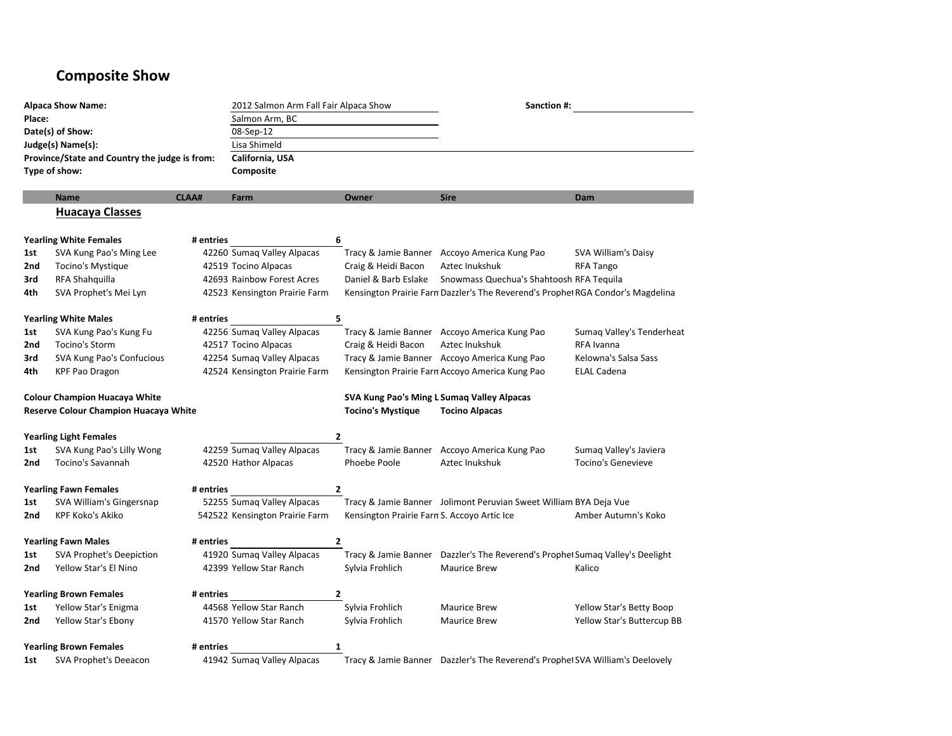## **Composite Show**

| <b>Alpaca Show Name:</b>                        |                                               |              | 2012 Salmon Arm Fall Fair Alpaca Show<br>Salmon Arm, BC |                                             | Sanction #:                                                                     |                            |  |
|-------------------------------------------------|-----------------------------------------------|--------------|---------------------------------------------------------|---------------------------------------------|---------------------------------------------------------------------------------|----------------------------|--|
| Place:<br>Date(s) of Show:<br>Judge(s) Name(s): |                                               |              |                                                         |                                             |                                                                                 |                            |  |
|                                                 |                                               |              | 08-Sep-12                                               |                                             |                                                                                 |                            |  |
|                                                 |                                               |              | Lisa Shimeld                                            |                                             |                                                                                 |                            |  |
|                                                 | Province/State and Country the judge is from: |              | California, USA                                         |                                             |                                                                                 |                            |  |
| Type of show:                                   |                                               |              | Composite                                               |                                             |                                                                                 |                            |  |
|                                                 | <b>Name</b>                                   | <b>CLAA#</b> | Farm                                                    | <b>Owner</b>                                | <b>Sire</b>                                                                     | Dam                        |  |
|                                                 | <b>Huacaya Classes</b>                        |              |                                                         |                                             |                                                                                 |                            |  |
|                                                 | <b>Yearling White Females</b>                 | # entries    |                                                         | 6                                           |                                                                                 |                            |  |
| 1st                                             | SVA Kung Pao's Ming Lee                       |              | 42260 Sumag Valley Alpacas                              |                                             | Tracy & Jamie Banner Accoyo America Kung Pao                                    | SVA William's Daisy        |  |
| 2nd                                             | Tocino's Mystique                             |              | 42519 Tocino Alpacas                                    | Craig & Heidi Bacon                         | Aztec Inukshuk                                                                  | <b>RFA Tango</b>           |  |
| 3rd                                             | RFA Shahquilla                                |              | 42693 Rainbow Forest Acres                              | Daniel & Barb Eslake                        | Snowmass Quechua's Shahtoosh RFA Tequila                                        |                            |  |
| 4th                                             | SVA Prophet's Mei Lyn                         |              | 42523 Kensington Prairie Farm                           |                                             | Kensington Prairie Farn Dazzler's The Reverend's Prophel RGA Condor's Magdelina |                            |  |
|                                                 | <b>Yearling White Males</b>                   | # entries    |                                                         | 5                                           |                                                                                 |                            |  |
| 1st                                             | SVA Kung Pao's Kung Fu                        |              | 42256 Sumaq Valley Alpacas                              |                                             | Tracy & Jamie Banner Accoyo America Kung Pao                                    | Sumaq Valley's Tenderheat  |  |
| 2nd                                             | Tocino's Storm                                |              | 42517 Tocino Alpacas                                    | Craig & Heidi Bacon                         | Aztec Inukshuk                                                                  | RFA Ivanna                 |  |
| 3rd                                             | SVA Kung Pao's Confucious                     |              | 42254 Sumaq Valley Alpacas                              |                                             | Tracy & Jamie Banner Accoyo America Kung Pao                                    | Kelowna's Salsa Sass       |  |
| 4th                                             | <b>KPF Pao Dragon</b>                         |              | 42524 Kensington Prairie Farm                           |                                             | Kensington Prairie Farn Accoyo America Kung Pao                                 | <b>ELAL Cadena</b>         |  |
| <b>Colour Champion Huacaya White</b>            |                                               |              |                                                         |                                             | SVA Kung Pao's Ming L Sumaq Valley Alpacas                                      |                            |  |
| Reserve Colour Champion Huacaya White           |                                               |              |                                                         | <b>Tocino's Mystique</b>                    | <b>Tocino Alpacas</b>                                                           |                            |  |
|                                                 | <b>Yearling Light Females</b>                 |              |                                                         | 2                                           |                                                                                 |                            |  |
| 1st                                             | SVA Kung Pao's Lilly Wong                     |              | 42259 Sumag Valley Alpacas                              |                                             | Tracy & Jamie Banner Accoyo America Kung Pao                                    | Sumaq Valley's Javiera     |  |
| 2nd                                             | <b>Tocino's Savannah</b>                      |              | 42520 Hathor Alpacas                                    | Phoebe Poole                                | Aztec Inukshuk                                                                  | <b>Tocino's Genevieve</b>  |  |
|                                                 | <b>Yearling Fawn Females</b>                  | # entries    |                                                         | 2                                           |                                                                                 |                            |  |
| 1st                                             | SVA William's Gingersnap                      |              | 52255 Sumag Valley Alpacas                              |                                             | Tracy & Jamie Banner Jolimont Peruvian Sweet William BYA Deja Vue               |                            |  |
| 2nd                                             | <b>KPF Koko's Akiko</b>                       |              | 542522 Kensington Prairie Farm                          | Kensington Prairie Farn S. Accoyo Artic Ice |                                                                                 | Amber Autumn's Koko        |  |
|                                                 | <b>Yearling Fawn Males</b>                    | # entries    |                                                         | $\overline{2}$                              |                                                                                 |                            |  |
| 1st                                             | <b>SVA Prophet's Deepiction</b>               |              | 41920 Sumag Valley Alpacas                              |                                             | Tracy & Jamie Banner Dazzler's The Reverend's Prophet Sumaq Valley's Deelight   |                            |  |
| 2nd                                             | Yellow Star's El Nino                         |              | 42399 Yellow Star Ranch                                 | Sylvia Frohlich                             | <b>Maurice Brew</b>                                                             | Kalico                     |  |
|                                                 | <b>Yearling Brown Females</b>                 | # entries    |                                                         | 2                                           |                                                                                 |                            |  |
| 1st                                             | Yellow Star's Enigma                          |              | 44568 Yellow Star Ranch                                 | Sylvia Frohlich                             | <b>Maurice Brew</b>                                                             | Yellow Star's Betty Boop   |  |
| 2nd                                             | Yellow Star's Ebony                           |              | 41570 Yellow Star Ranch                                 | Sylvia Frohlich                             | <b>Maurice Brew</b>                                                             | Yellow Star's Buttercup BB |  |
|                                                 | <b>Yearling Brown Females</b>                 | # entries    |                                                         | 1                                           |                                                                                 |                            |  |
| 1st                                             | <b>SVA Prophet's Deeacon</b>                  |              | 41942 Sumag Valley Alpacas                              |                                             | Tracy & Jamie Banner Dazzler's The Reverend's Prophet SVA William's Deelovely   |                            |  |